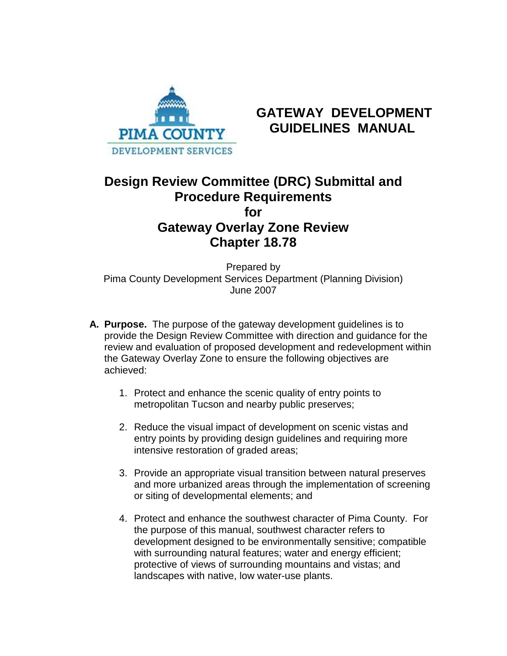

# **GATEWAY DEVELOPMENT PIMA COUNTY GUIDELINES MANUAL**

## **Design Review Committee (DRC) Submittal and Procedure Requirements for Gateway Overlay Zone Review Chapter 18.78**

Prepared by Pima County Development Services Department (Planning Division) June 2007

- **A. Purpose.** The purpose of the gateway development guidelines is to provide the Design Review Committee with direction and guidance for the review and evaluation of proposed development and redevelopment within the Gateway Overlay Zone to ensure the following objectives are achieved:
	- 1. Protect and enhance the scenic quality of entry points to metropolitan Tucson and nearby public preserves;
	- 2. Reduce the visual impact of development on scenic vistas and entry points by providing design guidelines and requiring more intensive restoration of graded areas;
	- 3. Provide an appropriate visual transition between natural preserves and more urbanized areas through the implementation of screening or siting of developmental elements; and
	- 4. Protect and enhance the southwest character of Pima County. For the purpose of this manual, southwest character refers to development designed to be environmentally sensitive; compatible with surrounding natural features; water and energy efficient; protective of views of surrounding mountains and vistas; and landscapes with native, low water-use plants.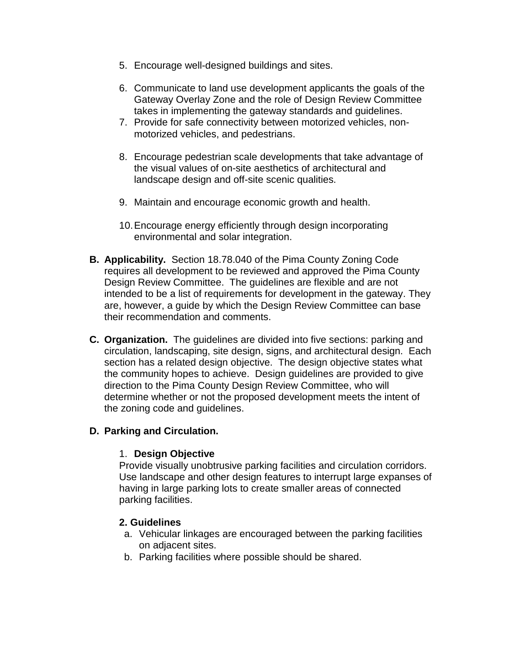- 5. Encourage well-designed buildings and sites.
- 6. Communicate to land use development applicants the goals of the Gateway Overlay Zone and the role of Design Review Committee takes in implementing the gateway standards and guidelines.
- 7. Provide for safe connectivity between motorized vehicles, nonmotorized vehicles, and pedestrians.
- 8. Encourage pedestrian scale developments that take advantage of the visual values of on-site aesthetics of architectural and landscape design and off-site scenic qualities.
- 9. Maintain and encourage economic growth and health.
- 10.Encourage energy efficiently through design incorporating environmental and solar integration.
- **B. Applicability.** Section 18.78.040 of the Pima County Zoning Code requires all development to be reviewed and approved the Pima County Design Review Committee. The guidelines are flexible and are not intended to be a list of requirements for development in the gateway. They are, however, a guide by which the Design Review Committee can base their recommendation and comments.
- **C. Organization.** The guidelines are divided into five sections: parking and circulation, landscaping, site design, signs, and architectural design. Each section has a related design objective. The design objective states what the community hopes to achieve. Design guidelines are provided to give direction to the Pima County Design Review Committee, who will determine whether or not the proposed development meets the intent of the zoning code and guidelines.

## **D. Parking and Circulation.**

#### 1. **Design Objective**

Provide visually unobtrusive parking facilities and circulation corridors. Use landscape and other design features to interrupt large expanses of having in large parking lots to create smaller areas of connected parking facilities.

#### **2. Guidelines**

- a. Vehicular linkages are encouraged between the parking facilities on adjacent sites.
- b. Parking facilities where possible should be shared.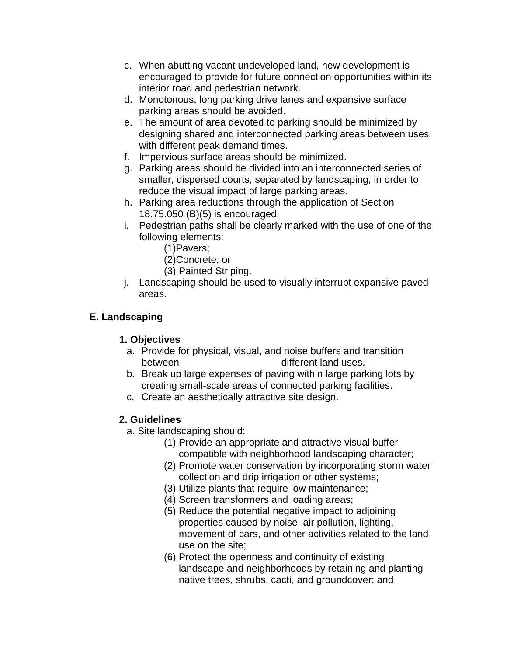- c. When abutting vacant undeveloped land, new development is encouraged to provide for future connection opportunities within its interior road and pedestrian network.
- d. Monotonous, long parking drive lanes and expansive surface parking areas should be avoided.
- e. The amount of area devoted to parking should be minimized by designing shared and interconnected parking areas between uses with different peak demand times.
- f. Impervious surface areas should be minimized.
- g. Parking areas should be divided into an interconnected series of smaller, dispersed courts, separated by landscaping, in order to reduce the visual impact of large parking areas.
- h. Parking area reductions through the application of Section 18.75.050 (B)(5) is encouraged.
- i. Pedestrian paths shall be clearly marked with the use of one of the following elements:
	- (1)Pavers;
	- (2)Concrete; or
	- (3) Painted Striping.
- j. Landscaping should be used to visually interrupt expansive paved areas.

## **E. Landscaping**

## **1. Objectives**

- a. Provide for physical, visual, and noise buffers and transition between different land uses.
- b. Break up large expenses of paving within large parking lots by creating small-scale areas of connected parking facilities.
- c. Create an aesthetically attractive site design.

## **2. Guidelines**

- a. Site landscaping should:
	- (1) Provide an appropriate and attractive visual buffer compatible with neighborhood landscaping character;
	- (2) Promote water conservation by incorporating storm water collection and drip irrigation or other systems;
	- (3) Utilize plants that require low maintenance;
	- (4) Screen transformers and loading areas;
	- (5) Reduce the potential negative impact to adjoining properties caused by noise, air pollution, lighting, movement of cars, and other activities related to the land use on the site;
	- (6) Protect the openness and continuity of existing landscape and neighborhoods by retaining and planting native trees, shrubs, cacti, and groundcover; and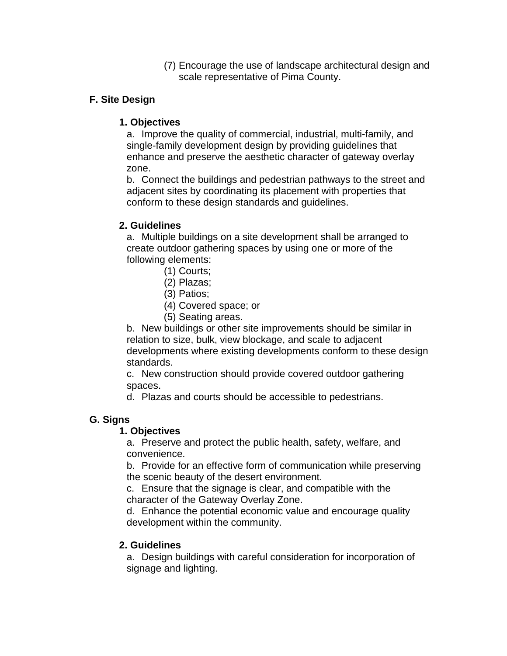(7) Encourage the use of landscape architectural design and scale representative of Pima County.

## **F. Site Design**

## **1. Objectives**

a. Improve the quality of commercial, industrial, multi-family, and single-family development design by providing guidelines that enhance and preserve the aesthetic character of gateway overlay zone.

b. Connect the buildings and pedestrian pathways to the street and adjacent sites by coordinating its placement with properties that conform to these design standards and guidelines.

## **2. Guidelines**

a. Multiple buildings on a site development shall be arranged to create outdoor gathering spaces by using one or more of the following elements:

- (1) Courts;
- (2) Plazas;
- (3) Patios;
- (4) Covered space; or
- (5) Seating areas.

b. New buildings or other site improvements should be similar in relation to size, bulk, view blockage, and scale to adjacent developments where existing developments conform to these design standards.

c. New construction should provide covered outdoor gathering spaces.

d. Plazas and courts should be accessible to pedestrians.

## **G. Signs**

## **1. Objectives**

a. Preserve and protect the public health, safety, welfare, and convenience.

b. Provide for an effective form of communication while preserving the scenic beauty of the desert environment.

c. Ensure that the signage is clear, and compatible with the character of the Gateway Overlay Zone.

d. Enhance the potential economic value and encourage quality development within the community.

## **2. Guidelines**

a. Design buildings with careful consideration for incorporation of signage and lighting.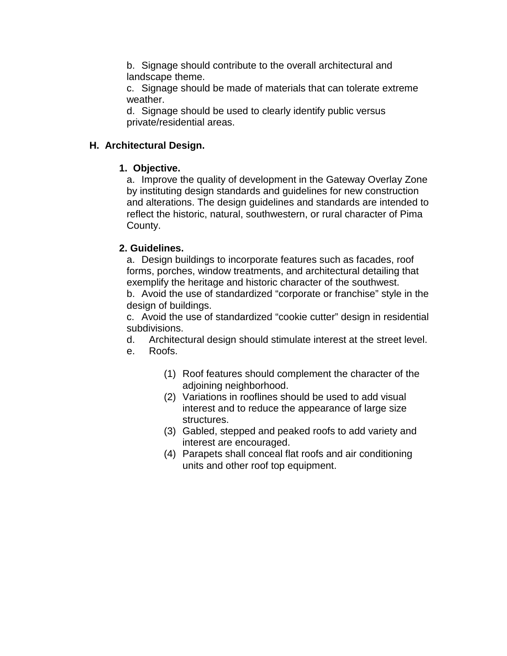b. Signage should contribute to the overall architectural and landscape theme.

c. Signage should be made of materials that can tolerate extreme weather.

d. Signage should be used to clearly identify public versus private/residential areas.

#### **H. Architectural Design.**

#### **1. Objective.**

a. Improve the quality of development in the Gateway Overlay Zone by instituting design standards and guidelines for new construction and alterations. The design guidelines and standards are intended to reflect the historic, natural, southwestern, or rural character of Pima County.

#### **2. Guidelines.**

a. Design buildings to incorporate features such as facades, roof forms, porches, window treatments, and architectural detailing that exemplify the heritage and historic character of the southwest.

b. Avoid the use of standardized "corporate or franchise" style in the design of buildings.

c. Avoid the use of standardized "cookie cutter" design in residential subdivisions.

d. Architectural design should stimulate interest at the street level.

- e. Roofs.
	- (1) Roof features should complement the character of the adjoining neighborhood.
	- (2) Variations in rooflines should be used to add visual interest and to reduce the appearance of large size structures.
	- (3) Gabled, stepped and peaked roofs to add variety and interest are encouraged.
	- (4) Parapets shall conceal flat roofs and air conditioning units and other roof top equipment.